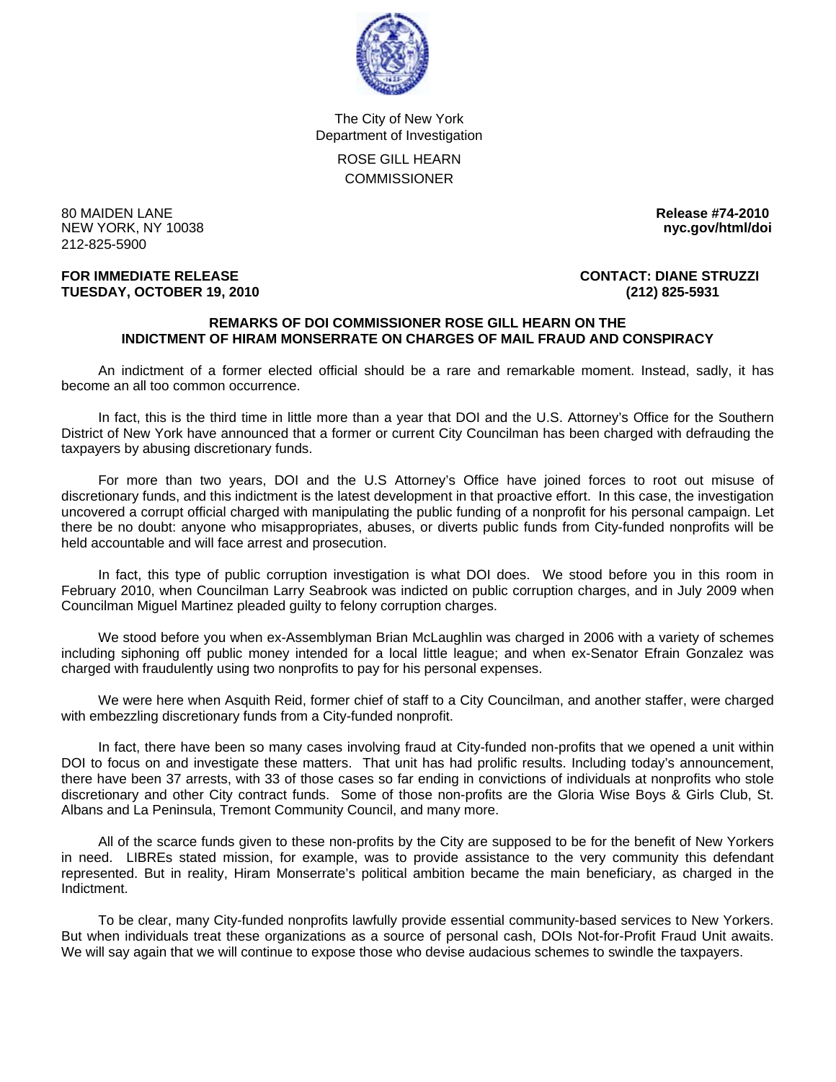

The City of New York Department of Investigation ROSE GILL HEARN **COMMISSIONER** 

80 MAIDEN LANE **Release #74-2010 NEW YORK, NY 10038** 212-825-5900

## **FOR IMMEDIATE RELEASE CONTACT: DIANE STRUZZI TUESDAY, OCTOBER 19, 2010 (212) 825-5931**

## **REMARKS OF DOI COMMISSIONER ROSE GILL HEARN ON THE INDICTMENT OF HIRAM MONSERRATE ON CHARGES OF MAIL FRAUD AND CONSPIRACY**

 An indictment of a former elected official should be a rare and remarkable moment. Instead, sadly, it has become an all too common occurrence.

 In fact, this is the third time in little more than a year that DOI and the U.S. Attorney's Office for the Southern District of New York have announced that a former or current City Councilman has been charged with defrauding the taxpayers by abusing discretionary funds.

 For more than two years, DOI and the U.S Attorney's Office have joined forces to root out misuse of discretionary funds, and this indictment is the latest development in that proactive effort. In this case, the investigation uncovered a corrupt official charged with manipulating the public funding of a nonprofit for his personal campaign. Let there be no doubt: anyone who misappropriates, abuses, or diverts public funds from City-funded nonprofits will be held accountable and will face arrest and prosecution.

 In fact, this type of public corruption investigation is what DOI does. We stood before you in this room in February 2010, when Councilman Larry Seabrook was indicted on public corruption charges, and in July 2009 when Councilman Miguel Martinez pleaded guilty to felony corruption charges.

 We stood before you when ex-Assemblyman Brian McLaughlin was charged in 2006 with a variety of schemes including siphoning off public money intended for a local little league; and when ex-Senator Efrain Gonzalez was charged with fraudulently using two nonprofits to pay for his personal expenses.

 We were here when Asquith Reid, former chief of staff to a City Councilman, and another staffer, were charged with embezzling discretionary funds from a City-funded nonprofit.

 In fact, there have been so many cases involving fraud at City-funded non-profits that we opened a unit within DOI to focus on and investigate these matters. That unit has had prolific results. Including today's announcement, there have been 37 arrests, with 33 of those cases so far ending in convictions of individuals at nonprofits who stole discretionary and other City contract funds. Some of those non-profits are the Gloria Wise Boys & Girls Club, St. Albans and La Peninsula, Tremont Community Council, and many more.

 All of the scarce funds given to these non-profits by the City are supposed to be for the benefit of New Yorkers in need. LIBREs stated mission, for example, was to provide assistance to the very community this defendant represented. But in reality, Hiram Monserrate's political ambition became the main beneficiary, as charged in the Indictment.

 To be clear, many City-funded nonprofits lawfully provide essential community-based services to New Yorkers. But when individuals treat these organizations as a source of personal cash, DOIs Not-for-Profit Fraud Unit awaits. We will say again that we will continue to expose those who devise audacious schemes to swindle the taxpayers.